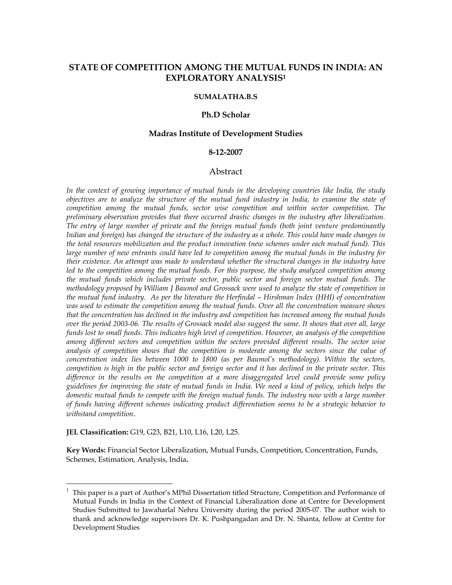# STATE OF COMPETITION AMONG THE MUTUAL FUNDS IN INDIA: AN EXPLORATORY ANALYSIS<sup>1</sup>

# SUMALATHA.B.S

#### Ph.D Scholar

### Madras Institute of Development Studies

#### 8-12-2007

#### Abstract

In the context of growing importance of mutual funds in the developing countries like India, the study objectives are to analyze the structure of the mutual fund industry in India, to examine the state of competition among the mutual funds, sector wise competition and within sector competition. The preliminary observation provides that there occurred drastic changes in the industry after liberalization. The entry of large number of private and the foreign mutual funds (both joint venture predominantly Indian and foreign) has changed the structure of the industry as a whole. This could have made changes in the total resources mobilization and the product innovation (new schemes under each mutual fund). This large number of new entrants could have led to competition among the mutual funds in the industry for their existence. An attempt was made to understand whether the structural changes in the industry have led to the competition among the mutual funds. For this purpose, the study analyzed competition among the mutual funds which includes private sector, public sector and foreign sector mutual funds. The methodology proposed by William J Baumol and Grossack were used to analyze the state of competition in the mutual fund industry. As per the literature the Herfindal – Hirshman Index (HHI) of concentration was used to estimate the competition among the mutual funds. Over all the concentration measure shows that the concentration has declined in the industry and competition has increased among the mutual funds over the period 2003-06. The results of Grossack model also suggest the same. It shows that over all, large funds lost to small funds. This indicates high level of competition. However, an analysis of the competition among different sectors and competition within the sectors provided different results. The sector wise analysis of competition shows that the competition is moderate among the sectors since the value of concentration index lies between 1000 to 1800 (as per Baumol's methodology). Within the sectors, competition is high in the public sector and foreign sector and it has declined in the private sector. This difference in the results on the competition at a more disaggregated level could provide some policy guidelines for improving the state of mutual funds in India. We need a kind of policy, which helps the domestic mutual funds to compete with the foreign mutual funds. The industry now with a large number of funds having different schemes indicating product differentiation seems to be a strategic behavior to withstand competition.

JEL Classification: G19, G23, B21, L10, L16, L20, L25.

l

Key Words: Financial Sector Liberalization, Mutual Funds, Competition, Concentration, Funds, Schemes, Estimation, Analysis, India.

<sup>1</sup> This paper is a part of Author's MPhil Dissertation titled Structure, Competition and Performance of Mutual Funds in India in the Context of Financial Liberalization done at Centre for Development Studies Submitted to Jawaharlal Nehru University during the period 2005-07. The author wish to thank and acknowledge supervisors Dr. K. Pushpangadan and Dr. N. Shanta, fellow at Centre for Development Studies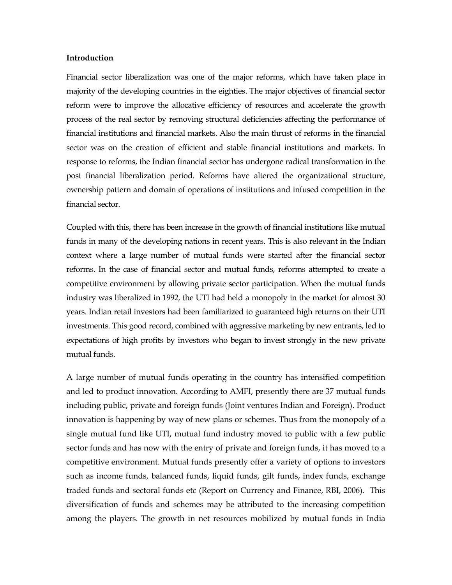#### Introduction

Financial sector liberalization was one of the major reforms, which have taken place in majority of the developing countries in the eighties. The major objectives of financial sector reform were to improve the allocative efficiency of resources and accelerate the growth process of the real sector by removing structural deficiencies affecting the performance of financial institutions and financial markets. Also the main thrust of reforms in the financial sector was on the creation of efficient and stable financial institutions and markets. In response to reforms, the Indian financial sector has undergone radical transformation in the post financial liberalization period. Reforms have altered the organizational structure, ownership pattern and domain of operations of institutions and infused competition in the financial sector.

Coupled with this, there has been increase in the growth of financial institutions like mutual funds in many of the developing nations in recent years. This is also relevant in the Indian context where a large number of mutual funds were started after the financial sector reforms. In the case of financial sector and mutual funds, reforms attempted to create a competitive environment by allowing private sector participation. When the mutual funds industry was liberalized in 1992, the UTI had held a monopoly in the market for almost 30 years. Indian retail investors had been familiarized to guaranteed high returns on their UTI investments. This good record, combined with aggressive marketing by new entrants, led to expectations of high profits by investors who began to invest strongly in the new private mutual funds.

A large number of mutual funds operating in the country has intensified competition and led to product innovation. According to AMFI, presently there are 37 mutual funds including public, private and foreign funds (Joint ventures Indian and Foreign). Product innovation is happening by way of new plans or schemes. Thus from the monopoly of a single mutual fund like UTI, mutual fund industry moved to public with a few public sector funds and has now with the entry of private and foreign funds, it has moved to a competitive environment. Mutual funds presently offer a variety of options to investors such as income funds, balanced funds, liquid funds, gilt funds, index funds, exchange traded funds and sectoral funds etc (Report on Currency and Finance, RBI, 2006). This diversification of funds and schemes may be attributed to the increasing competition among the players. The growth in net resources mobilized by mutual funds in India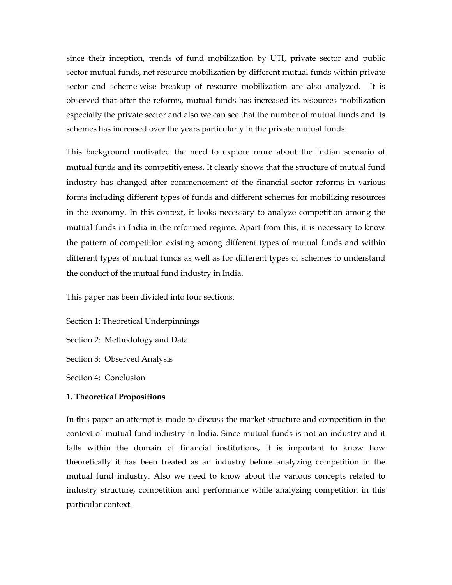since their inception, trends of fund mobilization by UTI, private sector and public sector mutual funds, net resource mobilization by different mutual funds within private sector and scheme-wise breakup of resource mobilization are also analyzed. It is observed that after the reforms, mutual funds has increased its resources mobilization especially the private sector and also we can see that the number of mutual funds and its schemes has increased over the years particularly in the private mutual funds.

This background motivated the need to explore more about the Indian scenario of mutual funds and its competitiveness. It clearly shows that the structure of mutual fund industry has changed after commencement of the financial sector reforms in various forms including different types of funds and different schemes for mobilizing resources in the economy. In this context, it looks necessary to analyze competition among the mutual funds in India in the reformed regime. Apart from this, it is necessary to know the pattern of competition existing among different types of mutual funds and within different types of mutual funds as well as for different types of schemes to understand the conduct of the mutual fund industry in India.

This paper has been divided into four sections.

Section 1: Theoretical Underpinnings Section 2: Methodology and Data Section 3: Observed Analysis Section 4: Conclusion

# 1. Theoretical Propositions

In this paper an attempt is made to discuss the market structure and competition in the context of mutual fund industry in India. Since mutual funds is not an industry and it falls within the domain of financial institutions, it is important to know how theoretically it has been treated as an industry before analyzing competition in the mutual fund industry. Also we need to know about the various concepts related to industry structure, competition and performance while analyzing competition in this particular context.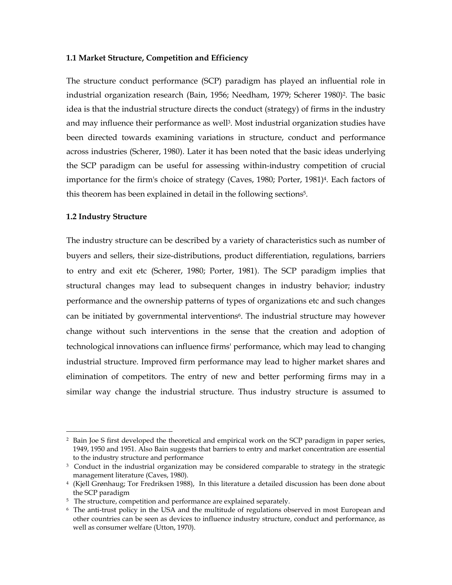### 1.1 Market Structure, Competition and Efficiency

The structure conduct performance (SCP) paradigm has played an influential role in industrial organization research (Bain, 1956; Needham, 1979; Scherer 1980)<sup>2</sup>. The basic idea is that the industrial structure directs the conduct (strategy) of firms in the industry and may influence their performance as well<sup>3</sup>. Most industrial organization studies have been directed towards examining variations in structure, conduct and performance across industries (Scherer, 1980). Later it has been noted that the basic ideas underlying the SCP paradigm can be useful for assessing within-industry competition of crucial importance for the firm's choice of strategy (Caves, 1980; Porter, 1981)4. Each factors of this theorem has been explained in detail in the following sections<sup>5</sup>.

### 1.2 Industry Structure

l

The industry structure can be described by a variety of characteristics such as number of buyers and sellers, their size-distributions, product differentiation, regulations, barriers to entry and exit etc (Scherer, 1980; Porter, 1981). The SCP paradigm implies that structural changes may lead to subsequent changes in industry behavior; industry performance and the ownership patterns of types of organizations etc and such changes can be initiated by governmental interventions<sup>6</sup>. The industrial structure may however change without such interventions in the sense that the creation and adoption of technological innovations can influence firms' performance, which may lead to changing industrial structure. Improved firm performance may lead to higher market shares and elimination of competitors. The entry of new and better performing firms may in a similar way change the industrial structure. Thus industry structure is assumed to

<sup>2</sup> Bain Joe S first developed the theoretical and empirical work on the SCP paradigm in paper series, 1949, 1950 and 1951. Also Bain suggests that barriers to entry and market concentration are essential to the industry structure and performance

<sup>3</sup> Conduct in the industrial organization may be considered comparable to strategy in the strategic management literature (Caves, 1980).

<sup>4</sup> (Kjell Grønhaug; Tor Fredriksen 1988), In this literature a detailed discussion has been done about the SCP paradigm

<sup>5</sup> The structure, competition and performance are explained separately.

<sup>6</sup> The anti-trust policy in the USA and the multitude of regulations observed in most European and other countries can be seen as devices to influence industry structure, conduct and performance, as well as consumer welfare (Utton, 1970).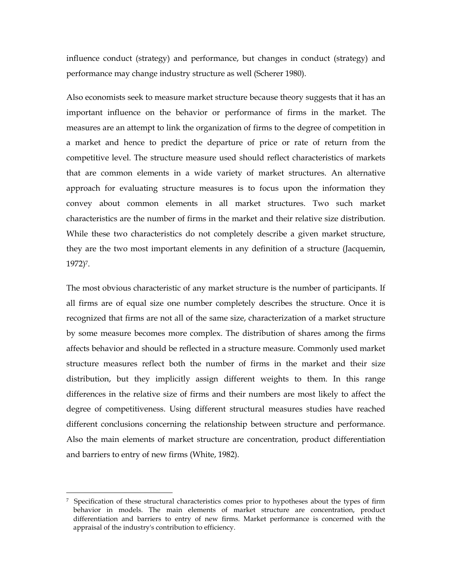influence conduct (strategy) and performance, but changes in conduct (strategy) and performance may change industry structure as well (Scherer 1980).

Also economists seek to measure market structure because theory suggests that it has an important influence on the behavior or performance of firms in the market. The measures are an attempt to link the organization of firms to the degree of competition in a market and hence to predict the departure of price or rate of return from the competitive level. The structure measure used should reflect characteristics of markets that are common elements in a wide variety of market structures. An alternative approach for evaluating structure measures is to focus upon the information they convey about common elements in all market structures. Two such market characteristics are the number of firms in the market and their relative size distribution. While these two characteristics do not completely describe a given market structure, they are the two most important elements in any definition of a structure (Jacquemin, 1972)7.

The most obvious characteristic of any market structure is the number of participants. If all firms are of equal size one number completely describes the structure. Once it is recognized that firms are not all of the same size, characterization of a market structure by some measure becomes more complex. The distribution of shares among the firms affects behavior and should be reflected in a structure measure. Commonly used market structure measures reflect both the number of firms in the market and their size distribution, but they implicitly assign different weights to them. In this range differences in the relative size of firms and their numbers are most likely to affect the degree of competitiveness. Using different structural measures studies have reached different conclusions concerning the relationship between structure and performance. Also the main elements of market structure are concentration, product differentiation and barriers to entry of new firms (White, 1982).

l

<sup>7</sup> Specification of these structural characteristics comes prior to hypotheses about the types of firm behavior in models. The main elements of market structure are concentration, product differentiation and barriers to entry of new firms. Market performance is concerned with the appraisal of the industry's contribution to efficiency.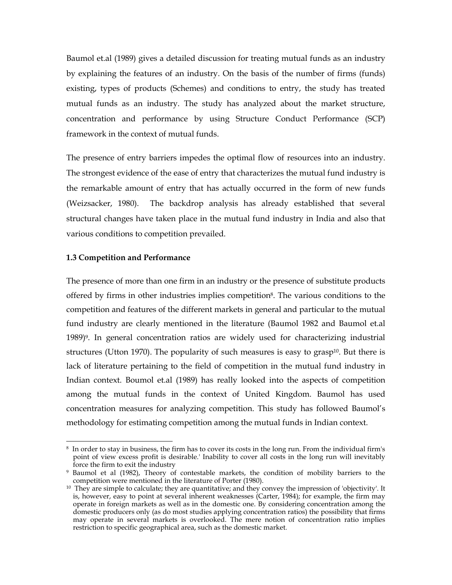Baumol et.al (1989) gives a detailed discussion for treating mutual funds as an industry by explaining the features of an industry. On the basis of the number of firms (funds) existing, types of products (Schemes) and conditions to entry, the study has treated mutual funds as an industry. The study has analyzed about the market structure, concentration and performance by using Structure Conduct Performance (SCP) framework in the context of mutual funds.

The presence of entry barriers impedes the optimal flow of resources into an industry. The strongest evidence of the ease of entry that characterizes the mutual fund industry is the remarkable amount of entry that has actually occurred in the form of new funds (Weizsacker, 1980). The backdrop analysis has already established that several structural changes have taken place in the mutual fund industry in India and also that various conditions to competition prevailed.

# 1.3 Competition and Performance

l

The presence of more than one firm in an industry or the presence of substitute products offered by firms in other industries implies competition8. The various conditions to the competition and features of the different markets in general and particular to the mutual fund industry are clearly mentioned in the literature (Baumol 1982 and Baumol et.al  $1989$ <sup>9</sup>. In general concentration ratios are widely used for characterizing industrial structures (Utton 1970). The popularity of such measures is easy to grasp<sup>10</sup>. But there is lack of literature pertaining to the field of competition in the mutual fund industry in Indian context. Boumol et.al (1989) has really looked into the aspects of competition among the mutual funds in the context of United Kingdom. Baumol has used concentration measures for analyzing competition. This study has followed Baumol's methodology for estimating competition among the mutual funds in Indian context.

 $^8\,$  In order to stay in business, the firm has to cover its costs in the long run. From the individual firm's point of view excess profit is desirable.' Inability to cover all costs in the long run will inevitably force the firm to exit the industry

<sup>9</sup> Baumol et al (1982), Theory of contestable markets, the condition of mobility barriers to the competition were mentioned in the literature of Porter (1980).

 $10$  They are simple to calculate; they are quantitative; and they convey the impression of 'objectivity'. It is, however, easy to point at several inherent weaknesses (Carter, 1984); for example, the firm may operate in foreign markets as well as in the domestic one. By considering concentration among the domestic producers only (as do most studies applying concentration ratios) the possibility that firms may operate in several markets is overlooked. The mere notion of concentration ratio implies restriction to specific geographical area, such as the domestic market.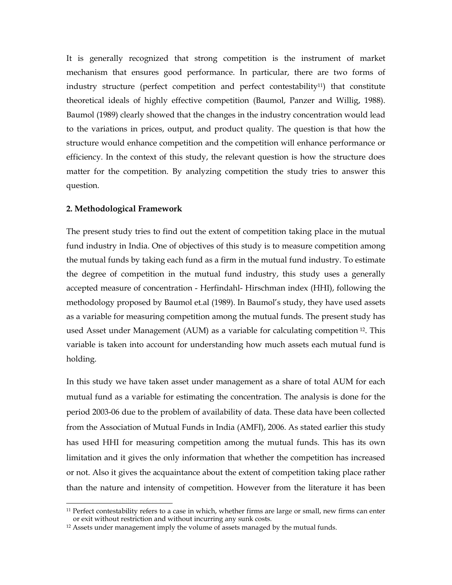It is generally recognized that strong competition is the instrument of market mechanism that ensures good performance. In particular, there are two forms of industry structure (perfect competition and perfect contestability<sup>11</sup>) that constitute theoretical ideals of highly effective competition (Baumol, Panzer and Willig, 1988). Baumol (1989) clearly showed that the changes in the industry concentration would lead to the variations in prices, output, and product quality. The question is that how the structure would enhance competition and the competition will enhance performance or efficiency. In the context of this study, the relevant question is how the structure does matter for the competition. By analyzing competition the study tries to answer this question.

# 2. Methodological Framework

l

The present study tries to find out the extent of competition taking place in the mutual fund industry in India. One of objectives of this study is to measure competition among the mutual funds by taking each fund as a firm in the mutual fund industry. To estimate the degree of competition in the mutual fund industry, this study uses a generally accepted measure of concentration - Herfindahl- Hirschman index (HHI), following the methodology proposed by Baumol et.al (1989). In Baumol's study, they have used assets as a variable for measuring competition among the mutual funds. The present study has used Asset under Management (AUM) as a variable for calculating competition 12. This variable is taken into account for understanding how much assets each mutual fund is holding.

In this study we have taken asset under management as a share of total AUM for each mutual fund as a variable for estimating the concentration. The analysis is done for the period 2003-06 due to the problem of availability of data. These data have been collected from the Association of Mutual Funds in India (AMFI), 2006. As stated earlier this study has used HHI for measuring competition among the mutual funds. This has its own limitation and it gives the only information that whether the competition has increased or not. Also it gives the acquaintance about the extent of competition taking place rather than the nature and intensity of competition. However from the literature it has been

<sup>&</sup>lt;sup>11</sup> Perfect contestability refers to a case in which, whether firms are large or small, new firms can enter or exit without restriction and without incurring any sunk costs.

<sup>&</sup>lt;sup>12</sup> Assets under management imply the volume of assets managed by the mutual funds.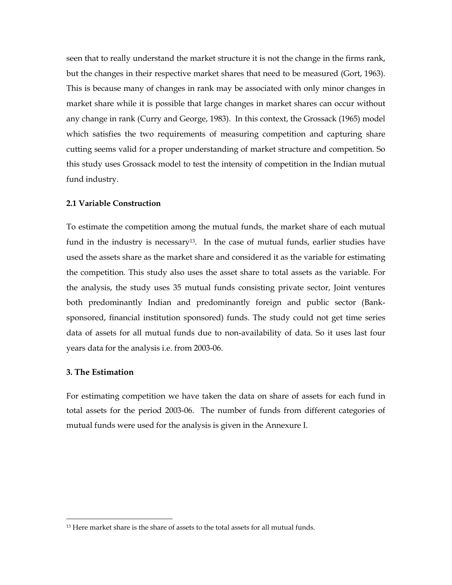seen that to really understand the market structure it is not the change in the firms rank, but the changes in their respective market shares that need to be measured (Gort, 1963). This is because many of changes in rank may be associated with only minor changes in market share while it is possible that large changes in market shares can occur without any change in rank (Curry and George, 1983). In this context, the Grossack (1965) model which satisfies the two requirements of measuring competition and capturing share cutting seems valid for a proper understanding of market structure and competition. So this study uses Grossack model to test the intensity of competition in the Indian mutual fund industry.

# 2.1 Variable Construction

To estimate the competition among the mutual funds, the market share of each mutual fund in the industry is necessary<sup>13</sup>. In the case of mutual funds, earlier studies have used the assets share as the market share and considered it as the variable for estimating the competition. This study also uses the asset share to total assets as the variable. For the analysis, the study uses 35 mutual funds consisting private sector, Joint ventures both predominantly Indian and predominantly foreign and public sector (Banksponsored, financial institution sponsored) funds. The study could not get time series data of assets for all mutual funds due to non-availability of data. So it uses last four years data for the analysis i.e. from 2003-06.

#### 3. The Estimation

l

For estimating competition we have taken the data on share of assets for each fund in total assets for the period 2003-06. The number of funds from different categories of mutual funds were used for the analysis is given in the Annexure I.

 $13$  Here market share is the share of assets to the total assets for all mutual funds.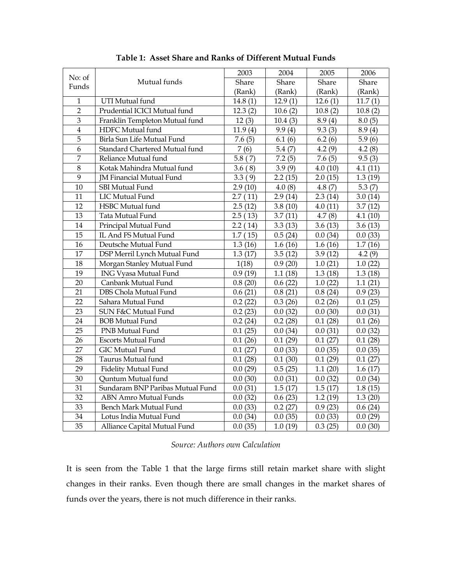|                |                                  | 2003    | 2004    | 2005    | 2006      |
|----------------|----------------------------------|---------|---------|---------|-----------|
| No: of         | Mutual funds                     | Share   | Share   | Share   | Share     |
| Funds          |                                  | (Rank)  | (Rank)  | (Rank)  | (Rank)    |
| $\mathbf{1}$   | UTI Mutual fund                  | 14.8(1) | 12.9(1) | 12.6(1) | 11.7(1)   |
| $\overline{2}$ | Prudential ICICI Mutual fund     | 12.3(2) | 10.6(2) | 10.8(2) | 10.8(2)   |
| $\overline{3}$ | Franklin Templeton Mutual fund   | 12(3)   | 10.4(3) | 8.9(4)  | 8.0(5)    |
| $\overline{4}$ | HDFC Mutual fund                 | 11.9(4) | 9.9(4)  | 9.3(3)  | 8.9(4)    |
| $\overline{5}$ | Birla Sun Life Mutual Fund       | 7.6(5)  | 6.1(6)  | 6.2(6)  | 5.9(6)    |
| 6              | Standard Chartered Mutual fund   | 7(6)    | 5.4(7)  | 4.2(9)  | 4.2(8)    |
| $\overline{7}$ | Reliance Mutual fund             | 5.8(7)  | 7.2(5)  | 7.6(5)  | 9.5(3)    |
| 8              | Kotak Mahindra Mutual fund       | 3.6(8)  | 3.9(9)  | 4.0(10) | 4.1(11)   |
| 9              | <b>IM Financial Mutual Fund</b>  | 3.3(9)  | 2.2(15) | 2.0(15) | 1.3(19)   |
| 10             | <b>SBI Mutual Fund</b>           | 2.9(10) | 4.0(8)  | 4.8(7)  | 5.3 $(7)$ |
| 11             | LIC Mutual Fund                  | 2.7(11) | 2.9(14) | 2.3(14) | 3.0(14)   |
| 12             | HSBC Mutual fund                 | 2.5(12) | 3.8(10) | 4.0(11) | 3.7(12)   |
| 13             | Tata Mutual Fund                 | 2.5(13) | 3.7(11) | 4.7(8)  | 4.1(10)   |
| $14\,$         | Principal Mutual Fund            | 2.2(14) | 3.3(13) | 3.6(13) | 3.6(13)   |
| 15             | IL And FS Mutual Fund            | 1.7(15) | 0.5(24) | 0.0(34) | 0.0(33)   |
| $16\,$         | Deutsche Mutual Fund             | 1.3(16) | 1.6(16) | 1.6(16) | 1.7(16)   |
| 17             | DSP Merril Lynch Mutual Fund     | 1.3(17) | 3.5(12) | 3.9(12) | 4.2(9)    |
| 18             | Morgan Stanley Mutual Fund       | 1(18)   | 0.9(20) | 1.0(21) | 1.0(22)   |
| 19             | <b>ING Vyasa Mutual Fund</b>     | 0.9(19) | 1.1(18) | 1.3(18) | 1.3(18)   |
| 20             | Canbank Mutual Fund              | 0.8(20) | 0.6(22) | 1.0(22) | 1.1(21)   |
| 21             | DBS Chola Mutual Fund            | 0.6(21) | 0.8(21) | 0.8(24) | 0.9(23)   |
| 22             | Sahara Mutual Fund               | 0.2(22) | 0.3(26) | 0.2(26) | 0.1(25)   |
| 23             | SUN F&C Mutual Fund              | 0.2(23) | 0.0(32) | 0.0(30) | 0.0(31)   |
| 24             | <b>BOB Mutual Fund</b>           | 0.2(24) | 0.2(28) | 0.1(28) | 0.1(26)   |
| 25             | PNB Mutual Fund                  | 0.1(25) | 0.0(34) | 0.0(31) | 0.0(32)   |
| 26             | <b>Escorts Mutual Fund</b>       | 0.1(26) | 0.1(29) | 0.1(27) | 0.1(28)   |
| 27             | <b>GIC Mutual Fund</b>           | 0.1(27) | 0.0(33) | 0.0(35) | 0.0(35)   |
| 28             | Taurus Mutual fund               | 0.1(28) | 0.1(30) | 0.1(29) | 0.1(27)   |
| 29             | <b>Fidelity Mutual Fund</b>      | 0.0(29) | 0.5(25) | 1.1(20) | 1.6(17)   |
| 30             | <b>Quntum Mutual fund</b>        | 0.0(30) | 0.0(31) | 0.0(32) | 0.0(34)   |
| 31             | Sundaram BNP Paribas Mutual Fund | 0.0(31) | 1.5(17) | 1.5(17) | 1.8(15)   |
| 32             | <b>ABN Amro Mutual Funds</b>     | 0.0(32) | 0.6(23) | 1.2(19) | 1.3(20)   |
| 33             | Bench Mark Mutual Fund           | 0.0(33) | 0.2(27) | 0.9(23) | 0.6(24)   |
| 34             | Lotus India Mutual Fund          | 0.0(34) | 0.0(35) | 0.0(33) | 0.0(29)   |
| 35             | Alliance Capital Mutual Fund     | 0.0(35) | 1.0(19) | 0.3(25) | 0.0(30)   |

Table 1: Asset Share and Ranks of Different Mutual Funds

Source: Authors own Calculation

It is seen from the Table 1 that the large firms still retain market share with slight changes in their ranks. Even though there are small changes in the market shares of funds over the years, there is not much difference in their ranks.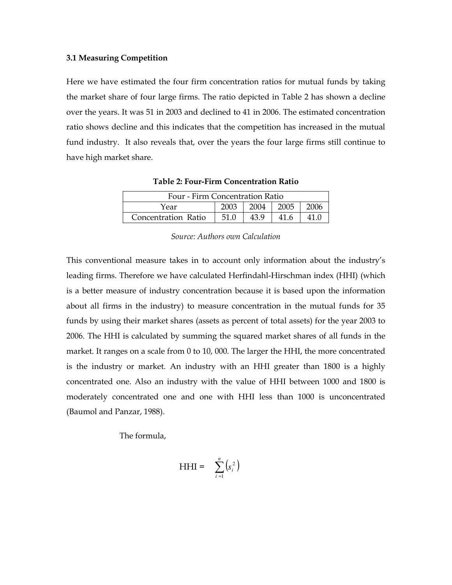#### 3.1 Measuring Competition

Here we have estimated the four firm concentration ratios for mutual funds by taking the market share of four large firms. The ratio depicted in Table 2 has shown a decline over the years. It was 51 in 2003 and declined to 41 in 2006. The estimated concentration ratio shows decline and this indicates that the competition has increased in the mutual fund industry. It also reveals that, over the years the four large firms still continue to have high market share.

| Four - Firm Concentration Ratio       |      |      |  |  |  |
|---------------------------------------|------|------|--|--|--|
| 2003<br>$2004$   2005<br>2006<br>Year |      |      |  |  |  |
| Concentration Ratio                   | 51.0 | 43.9 |  |  |  |

Table 2: Four-Firm Concentration Ratio

### Source: Authors own Calculation

This conventional measure takes in to account only information about the industry's leading firms. Therefore we have calculated Herfindahl-Hirschman index (HHI) (which is a better measure of industry concentration because it is based upon the information about all firms in the industry) to measure concentration in the mutual funds for 35 funds by using their market shares (assets as percent of total assets) for the year 2003 to 2006. The HHI is calculated by summing the squared market shares of all funds in the market. It ranges on a scale from 0 to 10, 000. The larger the HHI, the more concentrated is the industry or market. An industry with an HHI greater than 1800 is a highly concentrated one. Also an industry with the value of HHI between 1000 and 1800 is moderately concentrated one and one with HHI less than 1000 is unconcentrated (Baumol and Panzar, 1988).

The formula,

$$
HHI = \sum_{i=1}^{n} (s_i^2)
$$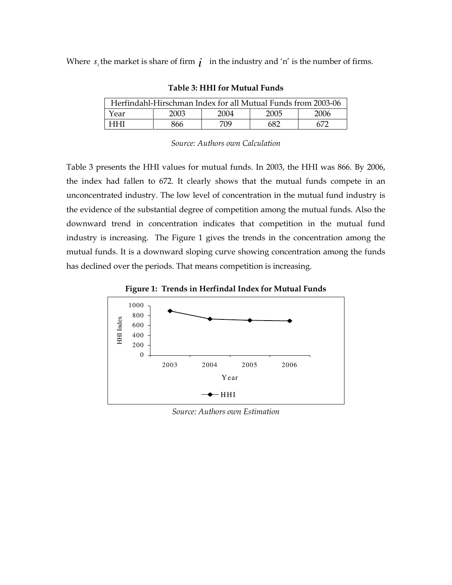Where  $s_i$  the market is share of firm  $\boldsymbol{i}$  in the industry and 'n' is the number of firms.

| Herfindahl-Hirschman Index for all Mutual Funds from 2003-06 |      |      |      |      |  |
|--------------------------------------------------------------|------|------|------|------|--|
| Year                                                         | 2003 | 2004 | 2005 | 2006 |  |
| नमा                                                          | 866  | 709  | 682  |      |  |

Source: Authors own Calculation

Table 3 presents the HHI values for mutual funds. In 2003, the HHI was 866. By 2006, the index had fallen to 672. It clearly shows that the mutual funds compete in an unconcentrated industry. The low level of concentration in the mutual fund industry is the evidence of the substantial degree of competition among the mutual funds. Also the downward trend in concentration indicates that competition in the mutual fund industry is increasing. The Figure 1 gives the trends in the concentration among the mutual funds. It is a downward sloping curve showing concentration among the funds has declined over the periods. That means competition is increasing.





Source: Authors own Estimation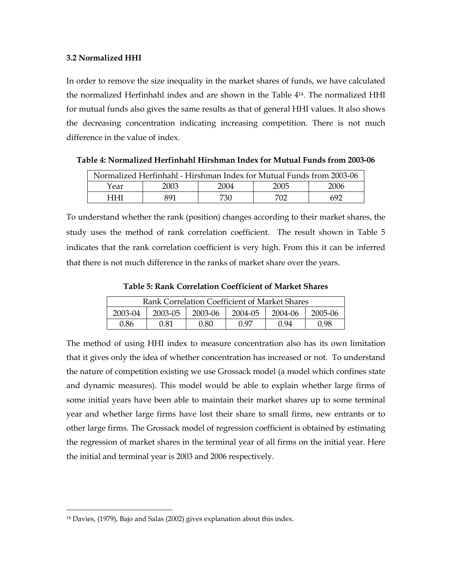### 3.2 Normalized HHI

In order to remove the size inequality in the market shares of funds, we have calculated the normalized Herfinhahl index and are shown in the Table 414. The normalized HHI for mutual funds also gives the same results as that of general HHI values. It also shows the decreasing concentration indicating increasing competition. There is not much difference in the value of index.

| Normalized Herfinhahl - Hirshman Index for Mutual Funds from 2003-06 |      |      |      |      |  |  |
|----------------------------------------------------------------------|------|------|------|------|--|--|
| Year                                                                 | 2003 | 2004 | 2005 | 2006 |  |  |
| धधा                                                                  | 891  | 730  | 702  | 692  |  |  |

Table 4: Normalized Herfinhahl Hirshman Index for Mutual Funds from 2003-06

To understand whether the rank (position) changes according to their market shares, the study uses the method of rank correlation coefficient. The result shown in Table 5 indicates that the rank correlation coefficient is very high. From this it can be inferred that there is not much difference in the ranks of market share over the years.

Table 5: Rank Correlation Coefficient of Market Shares

| Rank Correlation Coefficient of Market Shares                  |      |      |      |      |      |  |
|----------------------------------------------------------------|------|------|------|------|------|--|
| 2004-05<br>2004-06<br>2003-04<br>2003-06<br>2005-06<br>2003-05 |      |      |      |      |      |  |
| 0.86                                                           | 0.81 | 0.80 | በ 97 | 0.94 | 0.98 |  |

The method of using HHI index to measure concentration also has its own limitation that it gives only the idea of whether concentration has increased or not. To understand the nature of competition existing we use Grossack model (a model which confines state and dynamic measures). This model would be able to explain whether large firms of some initial years have been able to maintain their market shares up to some terminal year and whether large firms have lost their share to small firms, new entrants or to other large firms. The Grossack model of regression coefficient is obtained by estimating the regression of market shares in the terminal year of all firms on the initial year. Here the initial and terminal year is 2003 and 2006 respectively.

l

<sup>14</sup> Davies, (1979), Bajo and Salas (2002) gives explanation about this index.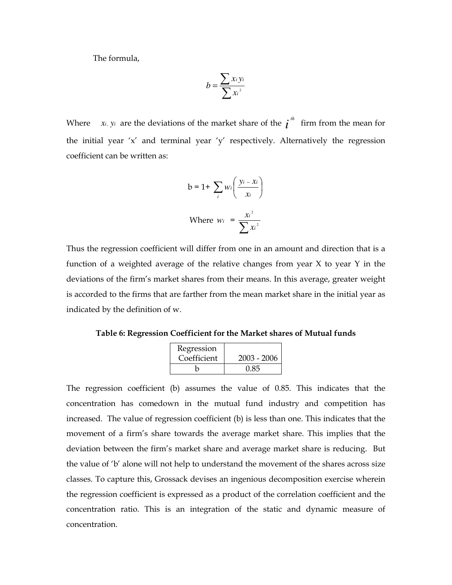The formula,

$$
b = \frac{\sum x_i y_i}{\sum x_i^2}
$$

Where *x<sub>i</sub>*, *y<sub>i</sub>* are the deviations of the market share of the  $i^{th}$  firm from the mean for the initial year 'x' and terminal year 'y' respectively. Alternatively the regression coefficient can be written as:

$$
b = 1 + \sum_{i} w_i \left( \frac{y_i - x_i}{x_i} \right)
$$
  
Where  $w_i = \frac{x_i^2}{\sum x_i^2}$ 

Thus the regression coefficient will differ from one in an amount and direction that is a function of a weighted average of the relative changes from year X to year Y in the deviations of the firm's market shares from their means. In this average, greater weight is accorded to the firms that are farther from the mean market share in the initial year as indicated by the definition of w.

Table 6: Regression Coefficient for the Market shares of Mutual funds

| Regression  |               |
|-------------|---------------|
| Coefficient | $2003 - 2006$ |
|             | 0.85          |

The regression coefficient (b) assumes the value of 0.85. This indicates that the concentration has comedown in the mutual fund industry and competition has increased. The value of regression coefficient (b) is less than one. This indicates that the movement of a firm's share towards the average market share. This implies that the deviation between the firm's market share and average market share is reducing. But the value of 'b' alone will not help to understand the movement of the shares across size classes. To capture this, Grossack devises an ingenious decomposition exercise wherein the regression coefficient is expressed as a product of the correlation coefficient and the concentration ratio. This is an integration of the static and dynamic measure of concentration.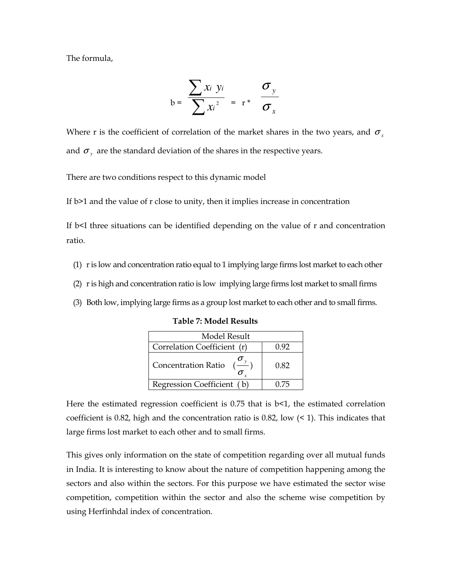The formula,

$$
b = \frac{\sum x_i y_i}{\sum x_i^2} = r^* \frac{\sigma_y}{\sigma_x}
$$

Where r is the coefficient of correlation of the market shares in the two years, and  $\sigma_{\rm x}$ and  $\sigma_y$  are the standard deviation of the shares in the respective years.

There are two conditions respect to this dynamic model

If b>1 and the value of r close to unity, then it implies increase in concentration

If b<I three situations can be identified depending on the value of r and concentration ratio.

- (1) r is low and concentration ratio equal to 1 implying large firms lost market to each other
- (2) r is high and concentration ratio is low implying large firms lost market to small firms
- (3) Both low, implying large firms as a group lost market to each other and to small firms.

Table 7: Model Results

| Model Result                |       |  |  |  |  |
|-----------------------------|-------|--|--|--|--|
| Correlation Coefficient (r) | () 92 |  |  |  |  |
| <b>Concentration Ratio</b>  | 0.82  |  |  |  |  |
| Regression Coefficient (b)  | 0.75  |  |  |  |  |

Here the estimated regression coefficient is  $0.75$  that is  $b<1$ , the estimated correlation coefficient is 0.82, high and the concentration ratio is 0.82, low  $($  < 1). This indicates that large firms lost market to each other and to small firms.

This gives only information on the state of competition regarding over all mutual funds in India. It is interesting to know about the nature of competition happening among the sectors and also within the sectors. For this purpose we have estimated the sector wise competition, competition within the sector and also the scheme wise competition by using Herfinhdal index of concentration.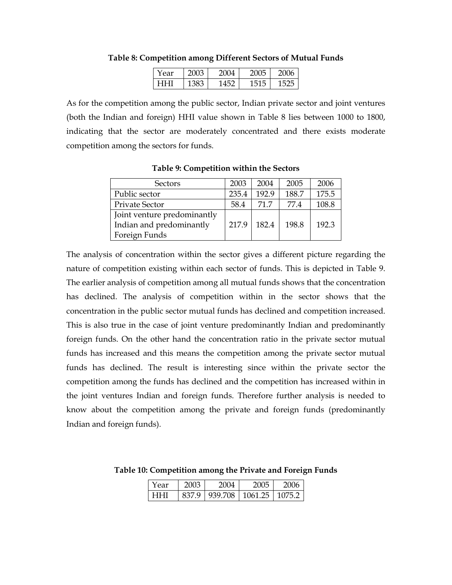| ear | л | н |
|-----|---|---|
|     |   |   |

### Table 8: Competition among Different Sectors of Mutual Funds

As for the competition among the public sector, Indian private sector and joint ventures (both the Indian and foreign) HHI value shown in Table 8 lies between 1000 to 1800, indicating that the sector are moderately concentrated and there exists moderate competition among the sectors for funds.

| Sectors                     | 2003  | 2004  | 2005  | 2006  |
|-----------------------------|-------|-------|-------|-------|
| Public sector               | 235.4 | 192.9 | 188.7 | 175.5 |
| Private Sector              | 58.4  | 71 7  | 77.4  | 108.8 |
| Joint venture predominantly |       |       |       |       |
| Indian and predominantly    | 217.9 | 182.4 | 198.8 | 192.3 |
| Foreign Funds               |       |       |       |       |

Table 9: Competition within the Sectors

The analysis of concentration within the sector gives a different picture regarding the nature of competition existing within each sector of funds. This is depicted in Table 9. The earlier analysis of competition among all mutual funds shows that the concentration has declined. The analysis of competition within in the sector shows that the concentration in the public sector mutual funds has declined and competition increased. This is also true in the case of joint venture predominantly Indian and predominantly foreign funds. On the other hand the concentration ratio in the private sector mutual funds has increased and this means the competition among the private sector mutual funds has declined. The result is interesting since within the private sector the competition among the funds has declined and the competition has increased within in the joint ventures Indian and foreign funds. Therefore further analysis is needed to know about the competition among the private and foreign funds (predominantly Indian and foreign funds).

| Year | 2003 | 2004                               | 2005 | 2006 |
|------|------|------------------------------------|------|------|
| HHI  |      | 837.9   939.708   1061.25   1075.2 |      |      |

Table 10: Competition among the Private and Foreign Funds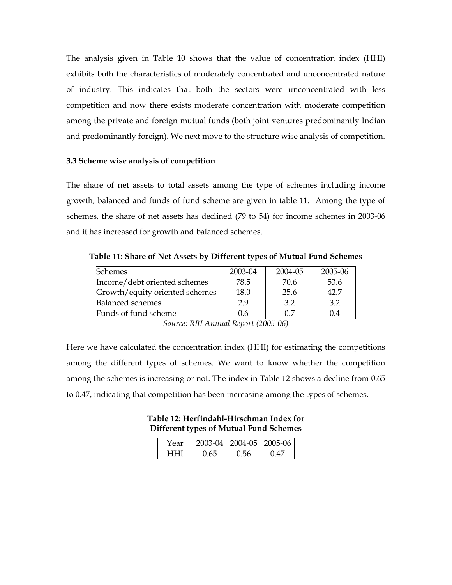The analysis given in Table 10 shows that the value of concentration index (HHI) exhibits both the characteristics of moderately concentrated and unconcentrated nature of industry. This indicates that both the sectors were unconcentrated with less competition and now there exists moderate concentration with moderate competition among the private and foreign mutual funds (both joint ventures predominantly Indian and predominantly foreign). We next move to the structure wise analysis of competition.

# 3.3 Scheme wise analysis of competition

The share of net assets to total assets among the type of schemes including income growth, balanced and funds of fund scheme are given in table 11. Among the type of schemes, the share of net assets has declined (79 to 54) for income schemes in 2003-06 and it has increased for growth and balanced schemes.

Table 11: Share of Net Assets by Different types of Mutual Fund Schemes

| Schemes                        | 2003-04 | 2004-05 | 2005-06 |
|--------------------------------|---------|---------|---------|
| Income/debt oriented schemes   | 78.5    | 70.6    | 53.6    |
| Growth/equity oriented schemes | 18.0    | 25.6    | 42 7    |
| <b>Balanced schemes</b>        | 29      | 32      | 32      |
| Funds of fund scheme           | 0.6     | በ 7     |         |

Source: RBI Annual Report (2005-06)

Here we have calculated the concentration index (HHI) for estimating the competitions among the different types of schemes. We want to know whether the competition among the schemes is increasing or not. The index in Table 12 shows a decline from 0.65 to 0.47, indicating that competition has been increasing among the types of schemes.

Table 12: Herfindahl-Hirschman Index for Different types of Mutual Fund Schemes

| Year |     |     | 2003-04   2004-05   2005-06 |
|------|-----|-----|-----------------------------|
|      | 065 | 156 |                             |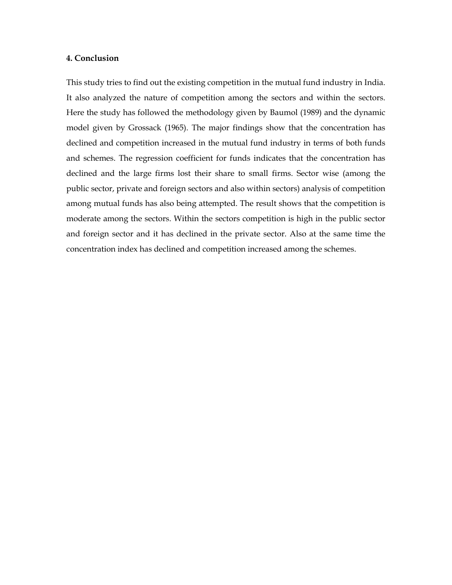# 4. Conclusion

This study tries to find out the existing competition in the mutual fund industry in India. It also analyzed the nature of competition among the sectors and within the sectors. Here the study has followed the methodology given by Baumol (1989) and the dynamic model given by Grossack (1965). The major findings show that the concentration has declined and competition increased in the mutual fund industry in terms of both funds and schemes. The regression coefficient for funds indicates that the concentration has declined and the large firms lost their share to small firms. Sector wise (among the public sector, private and foreign sectors and also within sectors) analysis of competition among mutual funds has also being attempted. The result shows that the competition is moderate among the sectors. Within the sectors competition is high in the public sector and foreign sector and it has declined in the private sector. Also at the same time the concentration index has declined and competition increased among the schemes.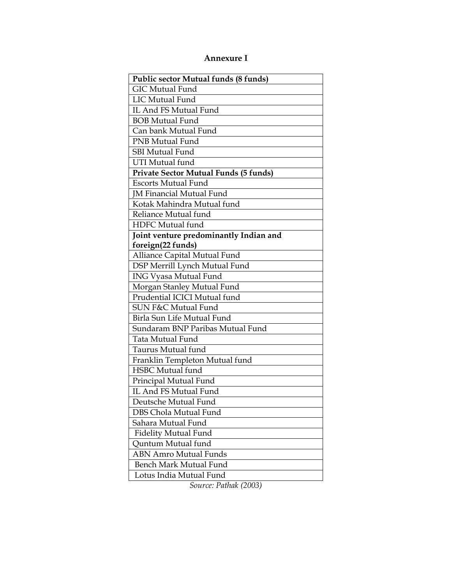# Annexure I

| Public sector Mutual funds (8 funds)   |  |  |
|----------------------------------------|--|--|
| <b>GIC Mutual Fund</b>                 |  |  |
| <b>LIC Mutual Fund</b>                 |  |  |
| IL And FS Mutual Fund                  |  |  |
| <b>BOB Mutual Fund</b>                 |  |  |
| Can bank Mutual Fund                   |  |  |
| <b>PNB Mutual Fund</b>                 |  |  |
| <b>SBI Mutual Fund</b>                 |  |  |
| <b>UTI Mutual fund</b>                 |  |  |
| Private Sector Mutual Funds (5 funds)  |  |  |
| <b>Escorts Mutual Fund</b>             |  |  |
| <b>JM Financial Mutual Fund</b>        |  |  |
| Kotak Mahindra Mutual fund             |  |  |
| Reliance Mutual fund                   |  |  |
| HDFC Mutual fund                       |  |  |
| Joint venture predominantly Indian and |  |  |
| foreign(22 funds)                      |  |  |
| Alliance Capital Mutual Fund           |  |  |
| DSP Merrill Lynch Mutual Fund          |  |  |
| <b>ING Vyasa Mutual Fund</b>           |  |  |
| Morgan Stanley Mutual Fund             |  |  |
| Prudential ICICI Mutual fund           |  |  |
| SUN F&C Mutual Fund                    |  |  |
| Birla Sun Life Mutual Fund             |  |  |
| Sundaram BNP Paribas Mutual Fund       |  |  |
| <b>Tata Mutual Fund</b>                |  |  |
| Taurus Mutual fund                     |  |  |
| Franklin Templeton Mutual fund         |  |  |
| <b>HSBC</b> Mutual fund                |  |  |
| Principal Mutual Fund                  |  |  |
| IL And FS Mutual Fund                  |  |  |
| Deutsche Mutual Fund                   |  |  |
| DBS Chola Mutual Fund                  |  |  |
| Sahara Mutual Fund                     |  |  |
| <b>Fidelity Mutual Fund</b>            |  |  |
| Quntum Mutual fund                     |  |  |
| <b>ABN Amro Mutual Funds</b>           |  |  |
| Bench Mark Mutual Fund                 |  |  |
| Lotus India Mutual Fund                |  |  |

Source: Pathak (2003)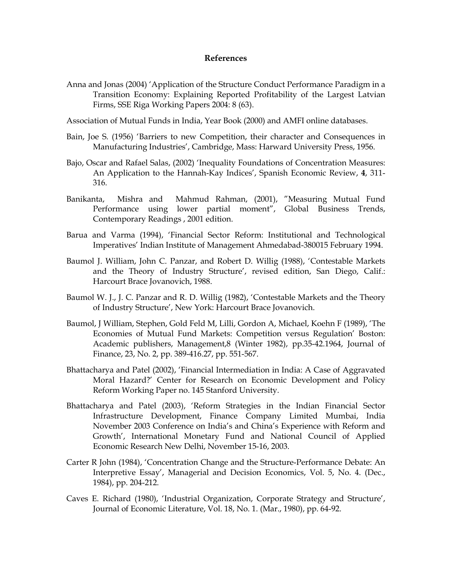# References

- Anna and Jonas (2004) 'Application of the Structure Conduct Performance Paradigm in a Transition Economy: Explaining Reported Profitability of the Largest Latvian Firms, SSE Riga Working Papers 2004: 8 (63).
- Association of Mutual Funds in India, Year Book (2000) and AMFI online databases.
- Bain, Joe S. (1956) 'Barriers to new Competition, their character and Consequences in Manufacturing Industries', Cambridge, Mass: Harward University Press, 1956.
- Bajo, Oscar and Rafael Salas, (2002) 'Inequality Foundations of Concentration Measures: An Application to the Hannah-Kay Indices', Spanish Economic Review, 4, 311- 316.
- Banikanta, Mishra and Mahmud Rahman, (2001), "Measuring Mutual Fund Performance using lower partial moment", Global Business Trends, Contemporary Readings , 2001 edition.
- Barua and Varma (1994), 'Financial Sector Reform: Institutional and Technological Imperatives' Indian Institute of Management Ahmedabad-380015 February 1994.
- Baumol J. William, John C. Panzar, and Robert D. Willig (1988), 'Contestable Markets and the Theory of Industry Structure', revised edition, San Diego, Calif.: Harcourt Brace Jovanovich, 1988.
- Baumol W. J., J. C. Panzar and R. D. Willig (1982), 'Contestable Markets and the Theory of Industry Structure', New York: Harcourt Brace Jovanovich.
- Baumol, J William, Stephen, Gold Feld M, Lilli, Gordon A, Michael, Koehn F (1989), 'The Economies of Mutual Fund Markets: Competition versus Regulation' Boston: Academic publishers, Management,8 (Winter 1982), pp.35-42.1964, Journal of Finance, 23, No. 2, pp. 389-416.27, pp. 551-567.
- Bhattacharya and Patel (2002), 'Financial Intermediation in India: A Case of Aggravated Moral Hazard?' Center for Research on Economic Development and Policy Reform Working Paper no. 145 Stanford University.
- Bhattacharya and Patel (2003), 'Reform Strategies in the Indian Financial Sector Infrastructure Development, Finance Company Limited Mumbai, India November 2003 Conference on India's and China's Experience with Reform and Growth', International Monetary Fund and National Council of Applied Economic Research New Delhi, November 15-16, 2003.
- Carter R John (1984), 'Concentration Change and the Structure-Performance Debate: An Interpretive Essay', Managerial and Decision Economics, Vol. 5, No. 4. (Dec., 1984), pp. 204-212.
- Caves E. Richard (1980), 'Industrial Organization, Corporate Strategy and Structure', Journal of Economic Literature, Vol. 18, No. 1. (Mar., 1980), pp. 64-92.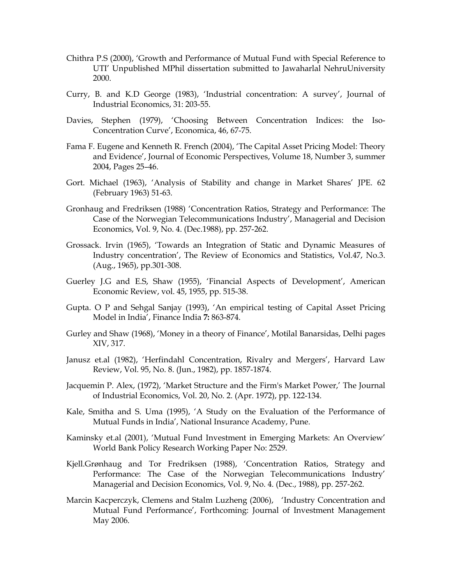- Chithra P.S (2000), 'Growth and Performance of Mutual Fund with Special Reference to UTI' Unpublished MPhil dissertation submitted to Jawaharlal NehruUniversity 2000.
- Curry, B. and K.D George (1983), 'Industrial concentration: A survey', Journal of Industrial Economics, 31: 203-55.
- Davies, Stephen (1979), 'Choosing Between Concentration Indices: the Iso-Concentration Curve', Economica, 46, 67-75.
- Fama F. Eugene and Kenneth R. French (2004), 'The Capital Asset Pricing Model: Theory and Evidence', Journal of Economic Perspectives, Volume 18, Number 3, summer 2004, Pages 25–46.
- Gort. Michael (1963), 'Analysis of Stability and change in Market Shares' JPE. 62 (February 1963) 51-63.
- Gronhaug and Fredriksen (1988) 'Concentration Ratios, Strategy and Performance: The Case of the Norwegian Telecommunications Industry', Managerial and Decision Economics, Vol. 9, No. 4. (Dec.1988), pp. 257-262.
- Grossack. Irvin (1965), 'Towards an Integration of Static and Dynamic Measures of Industry concentration', The Review of Economics and Statistics, Vol.47, No.3. (Aug., 1965), pp.301-308.
- Guerley J.G and E.S, Shaw (1955), 'Financial Aspects of Development', American Economic Review, vol. 45, 1955, pp. 515-38.
- Gupta. O P and Sehgal Sanjay (1993), 'An empirical testing of Capital Asset Pricing Model in India', Finance India 7: 863-874.
- Gurley and Shaw (1968), 'Money in a theory of Finance', Motilal Banarsidas, Delhi pages XIV, 317.
- Janusz et.al (1982), 'Herfindahl Concentration, Rivalry and Mergers', Harvard Law Review, Vol. 95, No. 8. (Jun., 1982), pp. 1857-1874.
- Jacquemin P. Alex, (1972), 'Market Structure and the Firm's Market Power,' The Journal of Industrial Economics, Vol. 20, No. 2. (Apr. 1972), pp. 122-134.
- Kale, Smitha and S. Uma (1995), 'A Study on the Evaluation of the Performance of Mutual Funds in India', National Insurance Academy, Pune.
- Kaminsky et.al (2001), 'Mutual Fund Investment in Emerging Markets: An Overview' World Bank Policy Research Working Paper No: 2529.
- Kjell.Grønhaug and Tor Fredriksen (1988), 'Concentration Ratios, Strategy and Performance: The Case of the Norwegian Telecommunications Industry' Managerial and Decision Economics, Vol. 9, No. 4. (Dec., 1988), pp. 257-262.
- Marcin Kacperczyk, Clemens and Stalm Luzheng (2006), 'Industry Concentration and Mutual Fund Performance', Forthcoming: Journal of Investment Management May 2006.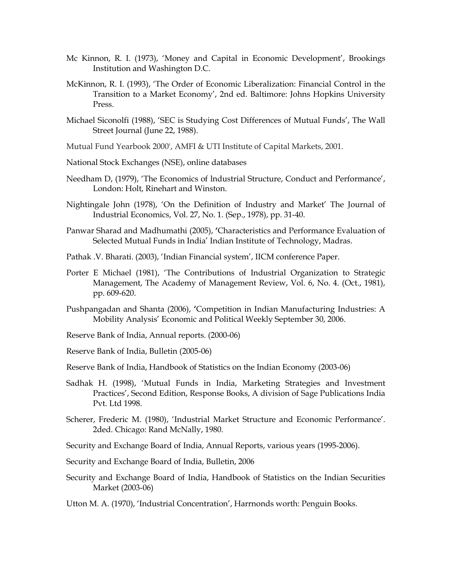- Mc Kinnon, R. I. (1973), 'Money and Capital in Economic Development', Brookings Institution and Washington D.C.
- McKinnon, R. I. (1993), 'The Order of Economic Liberalization: Financial Control in the Transition to a Market Economy', 2nd ed. Baltimore: Johns Hopkins University Press.
- Michael Siconolfi (1988), 'SEC is Studying Cost Differences of Mutual Funds', The Wall Street Journal (June 22, 1988).
- Mutual Fund Yearbook 2000', AMFI & UTI Institute of Capital Markets, 2001.
- National Stock Exchanges (NSE), online databases
- Needham D, (1979), 'The Economics of lndustrial Structure, Conduct and Performance', London: Holt, Rinehart and Winston.
- Nightingale John (1978), 'On the Definition of Industry and Market' The Journal of Industrial Economics, Vol. 27, No. 1. (Sep., 1978), pp. 31-40.
- Panwar Sharad and Madhumathi (2005), 'Characteristics and Performance Evaluation of Selected Mutual Funds in India' Indian Institute of Technology, Madras.
- Pathak .V. Bharati. (2003), 'Indian Financial system', IICM conference Paper.
- Porter E Michael (1981), 'The Contributions of Industrial Organization to Strategic Management, The Academy of Management Review, Vol. 6, No. 4. (Oct., 1981), pp. 609-620.
- Pushpangadan and Shanta (2006), 'Competition in Indian Manufacturing Industries: A Mobility Analysis' Economic and Political Weekly September 30, 2006.
- Reserve Bank of India, Annual reports. (2000-06)

Reserve Bank of India, Bulletin (2005-06)

- Reserve Bank of India, Handbook of Statistics on the Indian Economy (2003-06)
- Sadhak H. (1998), 'Mutual Funds in India, Marketing Strategies and Investment Practices', Second Edition, Response Books, A division of Sage Publications India Pvt. Ltd 1998.
- Scherer, Frederic M. (1980), 'Industrial Market Structure and Economic Performance'. 2ded. Chicago: Rand McNally, 1980.
- Security and Exchange Board of India, Annual Reports, various years (1995-2006).
- Security and Exchange Board of India, Bulletin, 2006
- Security and Exchange Board of India, Handbook of Statistics on the Indian Securities Market (2003-06)

Utton M. A. (1970), 'Industrial Concentration', Harrnonds worth: Penguin Books.